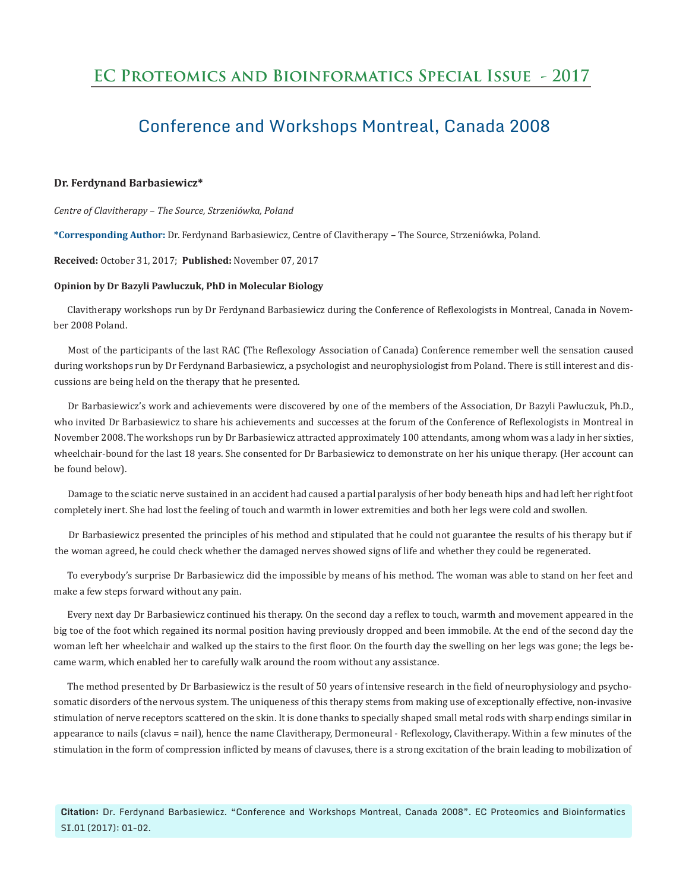## **EC Proteomics and Bioinformatics Special Issue - 2017**

# Conference and Workshops Montreal, Canada 2008

#### **Dr. Ferdynand Barbasiewicz\***

*Centre of Clavitherapy – The Source, Strzeniówka, Poland* 

**\*Corresponding Author:** Dr. Ferdynand Barbasiewicz, Centre of Clavitherapy – The Source, Strzeniówka, Poland.

### **Received:** October 31, 2017; **Published:** November 07, 2017

#### **Opinion by Dr Bazyli Pawluczuk, PhD in Molecular Biology**

Clavitherapy workshops run by Dr Ferdynand Barbasiewicz during the Conference of Reflexologists in Montreal, Canada in November 2008 Poland.

Most of the participants of the last RAC (The Reflexology Association of Canada) Conference remember well the sensation caused during workshops run by Dr Ferdynand Barbasiewicz, a psychologist and neurophysiologist from Poland. There is still interest and discussions are being held on the therapy that he presented.

Dr Barbasiewicz's work and achievements were discovered by one of the members of the Association, Dr Bazyli Pawluczuk, Ph.D., who invited Dr Barbasiewicz to share his achievements and successes at the forum of the Conference of Reflexologists in Montreal in November 2008. The workshops run by Dr Barbasiewicz attracted approximately 100 attendants, among whom was a lady in her sixties, wheelchair-bound for the last 18 years. She consented for Dr Barbasiewicz to demonstrate on her his unique therapy. (Her account can be found below).

Damage to the sciatic nerve sustained in an accident had caused a partial paralysis of her body beneath hips and had left her right foot completely inert. She had lost the feeling of touch and warmth in lower extremities and both her legs were cold and swollen.

Dr Barbasiewicz presented the principles of his method and stipulated that he could not guarantee the results of his therapy but if the woman agreed, he could check whether the damaged nerves showed signs of life and whether they could be regenerated.

To everybody's surprise Dr Barbasiewicz did the impossible by means of his method. The woman was able to stand on her feet and make a few steps forward without any pain.

Every next day Dr Barbasiewicz continued his therapy. On the second day a reflex to touch, warmth and movement appeared in the big toe of the foot which regained its normal position having previously dropped and been immobile. At the end of the second day the woman left her wheelchair and walked up the stairs to the first floor. On the fourth day the swelling on her legs was gone; the legs became warm, which enabled her to carefully walk around the room without any assistance.

The method presented by Dr Barbasiewicz is the result of 50 years of intensive research in the field of neurophysiology and psychosomatic disorders of the nervous system. The uniqueness of this therapy stems from making use of exceptionally effective, non-invasive stimulation of nerve receptors scattered on the skin. It is done thanks to specially shaped small metal rods with sharp endings similar in appearance to nails (clavus = nail), hence the name Clavitherapy, Dermoneural - Reflexology, Clavitherapy. Within a few minutes of the stimulation in the form of compression inflicted by means of clavuses, there is a strong excitation of the brain leading to mobilization of

**Citation:** Dr. Ferdynand Barbasiewicz. "Conference and Workshops Montreal, Canada 2008". EC Proteomics and Bioinformatics SI.01 (2017): 01-02.